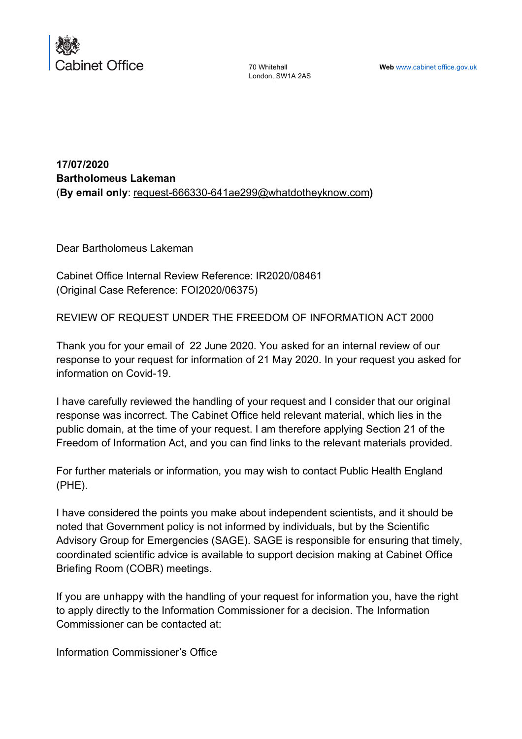

70 Whitehall London, SW1A 2AS

**17/07/2020 Bartholomeus Lakeman** (**By email only**: request-666330-641ae299@whatdotheyknow.com**)**

Dear Bartholomeus Lakeman

Cabinet Office Internal Review Reference: IR2020/08461 (Original Case Reference: FOI2020/06375)

REVIEW OF REQUEST UNDER THE FREEDOM OF INFORMATION ACT 2000

Thank you for your email of 22 June 2020. You asked for an internal review of our response to your request for information of 21 May 2020. In your request you asked for information on Covid-19.

I have carefully reviewed the handling of your request and I consider that our original response was incorrect. The Cabinet Office held relevant material, which lies in the public domain, at the time of your request. I am therefore applying Section 21 of the Freedom of Information Act, and you can find links to the relevant materials provided.

For further materials or information, you may wish to contact Public Health England (PHE).

I have considered the points you make about independent scientists, and it should be noted that Government policy is not informed by individuals, but by the Scientific Advisory Group for Emergencies (SAGE). SAGE is responsible for ensuring that timely, coordinated scientific advice is available to support decision making at Cabinet Office Briefing Room (COBR) meetings.

If you are unhappy with the handling of your request for information you, have the right to apply directly to the Information Commissioner for a decision. The Information Commissioner can be contacted at:

Information Commissioner's Office